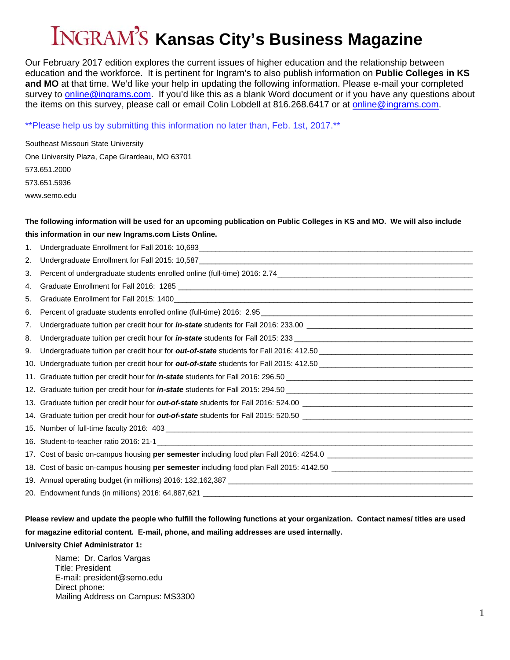# **Kansas City's Business Magazine**

Our February 2017 edition explores the current issues of higher education and the relationship between education and the workforce. It is pertinent for Ingram's to also publish information on **Public Colleges in KS and MO** at that time. We'd like your help in updating the following information. Please e-mail your completed survey to [online@ingrams.com](mailto:online@ingrams.com). If you'd like this as a blank Word document or if you have any questions about the items on this survey, please call or email Colin Lobdell at 816.268.6417 or at [online@ingrams.com.](mailto:online@ingrams.com)

\*\*Please help us by submitting this information no later than, Feb. 1st, 2017.\*\*

| Southeast Missouri State University            |  |  |  |
|------------------------------------------------|--|--|--|
| One University Plaza, Cape Girardeau, MO 63701 |  |  |  |
| 573.651.2000                                   |  |  |  |
| 573.651.5936                                   |  |  |  |
| www.semo.edu                                   |  |  |  |

## **The following information will be used for an upcoming publication on Public Colleges in KS and MO. We will also include this information in our new [Ingrams.com](https://Ingrams.com) Lists Online.**

| 1. | Undergraduate Enrollment for Fall 2016: 10,693___________________________________ |
|----|-----------------------------------------------------------------------------------|
| 2. |                                                                                   |
| 3. |                                                                                   |
| 4. |                                                                                   |
| 5. |                                                                                   |
| 6. |                                                                                   |
| 7. |                                                                                   |
| 8. |                                                                                   |
| 9. |                                                                                   |
|    |                                                                                   |
|    |                                                                                   |
|    |                                                                                   |
|    |                                                                                   |
|    |                                                                                   |
|    |                                                                                   |
|    |                                                                                   |
|    |                                                                                   |
|    |                                                                                   |
|    |                                                                                   |
|    |                                                                                   |
|    |                                                                                   |

# **Please review and update the people who fulfill the following functions at your organization. Contact names/ titles are used for magazine editorial content. E-mail, phone, and mailing addresses are used internally. University Chief Administrator 1:**

Name: Dr. Carlos Vargas Title: President E-mail: [president@semo.edu](mailto:president@semo.edu) Direct phone: Mailing Address on Campus: MS3300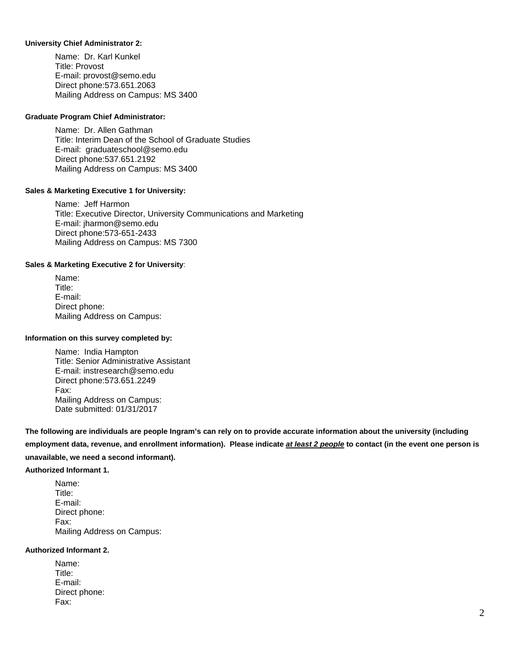#### **University Chief Administrator 2:**

Name: Dr. Karl Kunkel Title: Provost E-mail: [provost@semo.edu](mailto:provost@semo.edu)  Direct phone:573.651.2063 Mailing Address on Campus: MS 3400

#### **Graduate Program Chief Administrator:**

Name: Dr. Allen Gathman Title: Interim Dean of the School of Graduate Studies E-mail: [graduateschool@semo.edu](mailto:graduateschool@semo.edu) Direct phone:537.651.2192 Mailing Address on Campus: MS 3400

#### **Sales & Marketing Executive 1 for University:**

Name: Jeff Harmon Title: Executive Director, University Communications and Marketing E-mail: [jharmon@semo.edu](mailto:jharmon@semo.edu) Direct phone:573-651-2433 Mailing Address on Campus: MS 7300

#### **Sales & Marketing Executive 2 for University**:

Name: Title: E-mail: Direct phone: Mailing Address on Campus:

#### **Information on this survey completed by:**

Name: India Hampton Title: Senior Administrative Assistant E-mail: [instresearch@semo.edu](mailto:instresearch@semo.edu) Direct phone:573.651.2249 Fax: Mailing Address on Campus: Date submitted: 01/31/2017

**The following are individuals are people Ingram's can rely on to provide accurate information about the university (including employment data, revenue, and enrollment information). Please indicate** *at least 2 people* **to contact (in the event one person is unavailable, we need a second informant).** 

#### **Authorized Informant 1.**

Name: Title: E-mail: Direct phone: Fax: Mailing Address on Campus:

#### **Authorized Informant 2.**

| Name:         |
|---------------|
| Title:        |
| E-mail:       |
| Direct phone: |
| Fax:          |